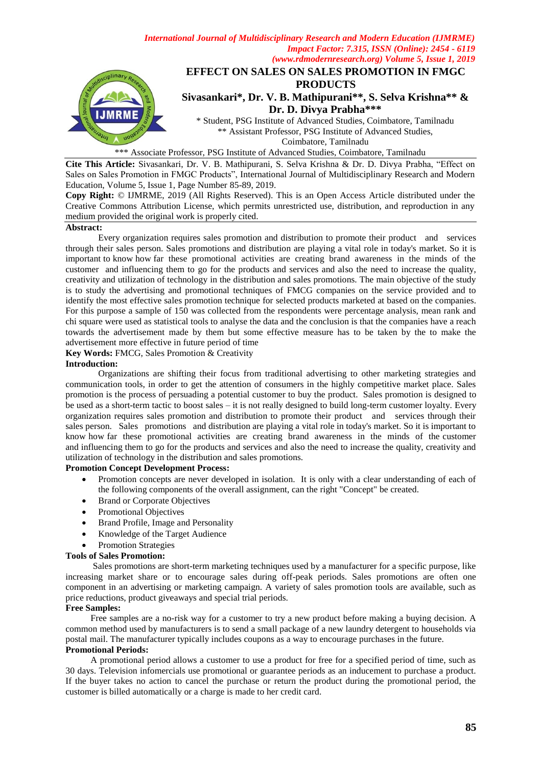



\*\*\* Associate Professor, PSG Institute of Advanced Studies, Coimbatore, Tamilnadu

**Cite This Article:** Sivasankari, Dr. V. B. Mathipurani, S. Selva Krishna & Dr. D. Divya Prabha, "Effect on Sales on Sales Promotion in FMGC Products", International Journal of Multidisciplinary Research and Modern Education, Volume 5, Issue 1, Page Number 85-89, 2019.

**Copy Right:** © IJMRME, 2019 (All Rights Reserved). This is an Open Access Article distributed under the Creative Commons Attribution License, which permits unrestricted use, distribution, and reproduction in any medium provided the original work is properly cited.

#### **Abstract:**

Every organization requires sales promotion and distribution to promote their product and services through their sales person. Sales promotions and distribution are playing a vital role in today's market. So it is important to know how far these promotional activities are creating brand awareness in the minds of the customer and influencing them to go for the products and services and also the need to increase the quality, creativity and utilization of technology in the distribution and sales promotions. The main objective of the study is to study the advertising and promotional techniques of FMCG companies on the service provided and to identify the most effective sales promotion technique for selected products marketed at based on the companies. For this purpose a sample of 150 was collected from the respondents were percentage analysis, mean rank and chi square were used as statistical tools to analyse the data and the conclusion is that the companies have a reach towards the advertisement made by them but some effective measure has to be taken by the to make the advertisement more effective in future period of time

**Key Words:** FMCG, Sales Promotion & Creativity

## **Introduction:**

Organizations are shifting their focus from traditional advertising to other marketing strategies and communication tools, in order to get the attention of consumers in the highly competitive market place. Sales promotion is the process of persuading a potential customer to buy the product. Sales promotion is designed to be used as a short-term tactic to boost sales – it is not really designed to build long-term customer loyalty. Every organization requires sales promotion and distribution to promote their product and services through their sales person. Sales promotions and distribution are playing a vital role in today's market. So it is important to know how far these promotional activities are creating brand awareness in the minds of the customer and influencing them to go for the products and services and also the need to increase the quality, creativity and utilization of technology in the distribution and sales promotions.

#### **Promotion Concept Development Process:**

- Promotion concepts are never developed in isolation. It is only with a clear understanding of each of the following components of the overall assignment, can the right "Concept" be created.
- Brand or Corporate Objectives
- Promotional Objectives
- Brand Profile, Image and Personality
- Knowledge of the Target Audience
- Promotion Strategies

#### **Tools of Sales Promotion:**

 Sales promotions are short-term marketing techniques used by a manufacturer for a specific purpose, like increasing market share or to encourage sales during off-peak periods. Sales promotions are often one component in an advertising or marketing campaign. A variety of sales promotion tools are available, such as price reductions, product giveaways and special trial periods.

#### **Free Samples:**

 Free samples are a no-risk way for a customer to try a new product before making a buying decision. A common method used by manufacturers is to send a small package of a new laundry detergent to households via postal mail. The manufacturer typically includes coupons as a way to encourage purchases in the future. **Promotional Periods:**

 A promotional period allows a customer to use a product for free for a specified period of time, such as 30 days. Television infomercials use promotional or guarantee periods as an inducement to purchase a product. If the buyer takes no action to cancel the purchase or return the product during the promotional period, the customer is billed automatically or a charge is made to her credit card.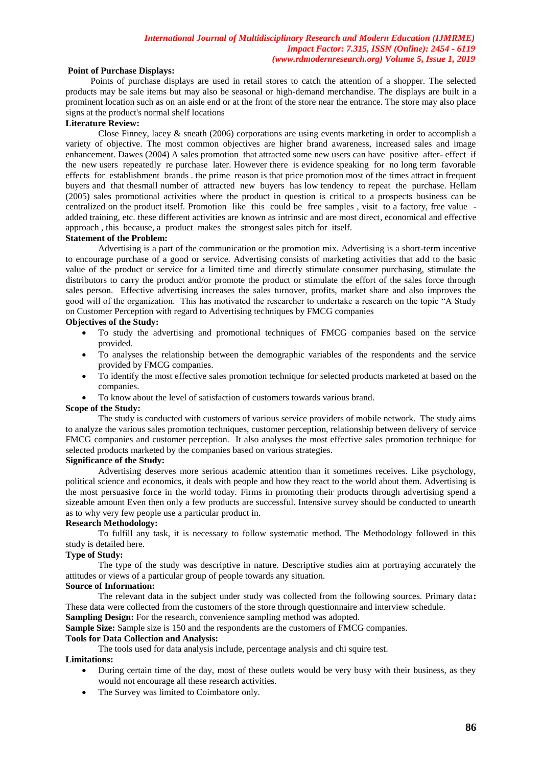### *International Journal of Multidisciplinary Research and Modern Education (IJMRME) Impact Factor: 7.315, ISSN (Online): 2454 - 6119 (www.rdmodernresearch.org) Volume 5, Issue 1, 2019*

# **Point of Purchase Displays:**

 Points of purchase displays are used in retail stores to catch the attention of a shopper. The selected products may be sale items but may also be seasonal or high-demand merchandise. The displays are built in a prominent location such as on an aisle end or at the front of the store near the entrance. The store may also place signs at the product's normal shelf locations

### **Literature Review:**

Close Finney, lacey  $\&$  sneath (2006) corporations are using events marketing in order to accomplish a variety of objective. The most common objectives are higher brand awareness, increased sales and image enhancement. Dawes (2004) A sales promotion that attracted some new users can have positive after- effect if the new users repeatedly re purchase later. However there is evidence speaking for no long term favorable effects for establishment brands . the prime reason is that price promotion most of the times attract in frequent buyers and that thesmall number of attracted new buyers has low tendency to repeat the purchase. Hellam (2005) sales promotional activities where the product in question is critical to a prospects business can be centralized on the product itself. Promotion like this could be free samples , visit to a factory, free value added training, etc. these different activities are known as intrinsic and are most direct, economical and effective approach , this because, a product makes the strongest sales pitch for itself.

## **Statement of the Problem:**

 Advertising is a part of the communication or the promotion mix. Advertising is a short-term incentive to encourage purchase of a good or service. Advertising consists of marketing activities that add to the basic value of the product or service for a limited time and directly stimulate consumer purchasing, stimulate the distributors to carry the product and/or promote the product or stimulate the effort of the sales force through sales person. Effective advertising increases the sales turnover, profits, market share and also improves the good will of the organization. This has motivated the researcher to undertake a research on the topic "A Study on Customer Perception with regard to Advertising techniques by FMCG companies

## **Objectives of the Study:**

- To study the advertising and promotional techniques of FMCG companies based on the service provided.
- To analyses the relationship between the demographic variables of the respondents and the service provided by FMCG companies.
- To identify the most effective sales promotion technique for selected products marketed at based on the companies.
- To know about the level of satisfaction of customers towards various brand.

#### **Scope of the Study:**

The study is conducted with customers of various service providers of mobile network. The study aims to analyze the various sales promotion techniques, customer perception, relationship between delivery of service FMCG companies and customer perception. It also analyses the most effective sales promotion technique for selected products marketed by the companies based on various strategies.

#### **Significance of the Study:**

Advertising deserves more serious academic attention than it sometimes receives. Like psychology, political science and economics, it deals with people and how they react to the world about them. Advertising is the most persuasive force in the world today. Firms in promoting their products through advertising spend a sizeable amount Even then only a few products are successful. Intensive survey should be conducted to unearth as to why very few people use a particular product in.

#### **Research Methodology:**

To fulfill any task, it is necessary to follow systematic method. The Methodology followed in this study is detailed here.

### **Type of Study:**

The type of the study was descriptive in nature. Descriptive studies aim at portraying accurately the attitudes or views of a particular group of people towards any situation.

# **Source of Information:**

The relevant data in the subject under study was collected from the following sources. Primary data**:** These data were collected from the customers of the store through questionnaire and interview schedule. **Sampling Design:** For the research, convenience sampling method was adopted.

**Sample Size:** Sample size is 150 and the respondents are the customers of FMCG companies.

#### **Tools for Data Collection and Analysis:**

The tools used for data analysis include, percentage analysis and chi squire test.

### **Limitations:**

- During certain time of the day, most of these outlets would be very busy with their business, as they would not encourage all these research activities.
- The Survey was limited to Coimbatore only.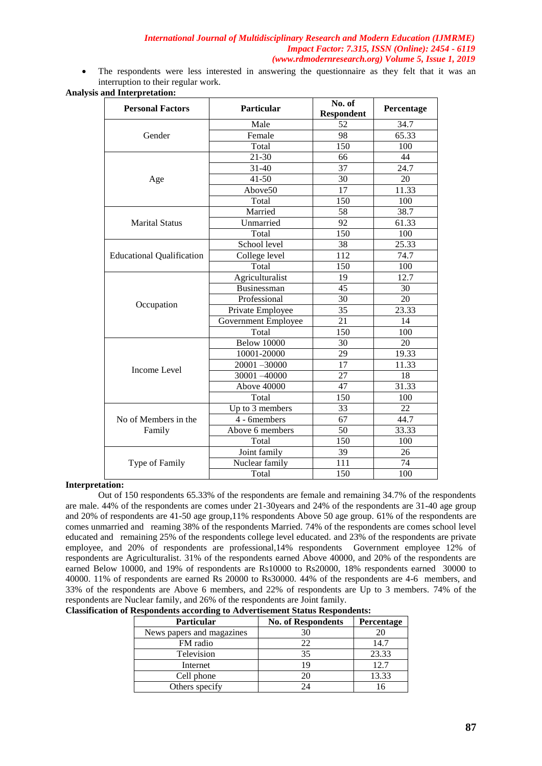## *International Journal of Multidisciplinary Research and Modern Education (IJMRME) Impact Factor: 7.315, ISSN (Online): 2454 - 6119 (www.rdmodernresearch.org) Volume 5, Issue 1, 2019*

 The respondents were less interested in answering the questionnaire as they felt that it was an interruption to their regular work.

# **Analysis and Interpretation:**

| <b>Personal Factors</b>          | <b>Particular</b>                                                                                                                                                                                                                                                                                                                                                                                                                                                                                                                                                                                                                                                                           | No. of<br><b>Respondent</b> | Percentage |  |
|----------------------------------|---------------------------------------------------------------------------------------------------------------------------------------------------------------------------------------------------------------------------------------------------------------------------------------------------------------------------------------------------------------------------------------------------------------------------------------------------------------------------------------------------------------------------------------------------------------------------------------------------------------------------------------------------------------------------------------------|-----------------------------|------------|--|
|                                  | Male                                                                                                                                                                                                                                                                                                                                                                                                                                                                                                                                                                                                                                                                                        | 52                          | 34.7       |  |
| Gender                           | 98<br>Female<br>Total<br>150<br>$21 - 30$<br>66<br>$31 - 40$<br>37<br>$41 - 50$<br>30<br>Above50<br>17<br>Total<br>150<br>Married<br>58<br>Unmarried<br>92<br>$\overline{150}$<br>Total<br>School level<br>38<br>112<br>College level<br>Total<br>150<br>Agriculturalist<br>19<br>45<br><b>Businessman</b><br>30<br>Professional<br>$\overline{35}$<br>Private Employee<br>Government Employee<br>21<br>Total<br>150<br><b>Below 10000</b><br>30<br>$\overline{29}$<br>10001-20000<br>17<br>$20001 - 30000$<br>$\overline{27}$<br>$\overline{30001} - 40000$<br>47<br>Above 40000<br>Total<br>150<br>Up to $3$ members<br>33<br>67<br>4 - 6members<br>Above 6 members<br>50<br>150<br>Total | 65.33                       |            |  |
|                                  |                                                                                                                                                                                                                                                                                                                                                                                                                                                                                                                                                                                                                                                                                             |                             | 100        |  |
|                                  |                                                                                                                                                                                                                                                                                                                                                                                                                                                                                                                                                                                                                                                                                             |                             | 44         |  |
|                                  |                                                                                                                                                                                                                                                                                                                                                                                                                                                                                                                                                                                                                                                                                             |                             | 24.7       |  |
| Age                              | Joint family<br>39<br>Nuclear family<br>111                                                                                                                                                                                                                                                                                                                                                                                                                                                                                                                                                                                                                                                 | 20                          |            |  |
|                                  |                                                                                                                                                                                                                                                                                                                                                                                                                                                                                                                                                                                                                                                                                             |                             | 11.33      |  |
|                                  |                                                                                                                                                                                                                                                                                                                                                                                                                                                                                                                                                                                                                                                                                             |                             | 100        |  |
|                                  |                                                                                                                                                                                                                                                                                                                                                                                                                                                                                                                                                                                                                                                                                             |                             | 38.7       |  |
| <b>Marital Status</b>            |                                                                                                                                                                                                                                                                                                                                                                                                                                                                                                                                                                                                                                                                                             |                             | 61.33      |  |
|                                  |                                                                                                                                                                                                                                                                                                                                                                                                                                                                                                                                                                                                                                                                                             |                             | 100        |  |
|                                  |                                                                                                                                                                                                                                                                                                                                                                                                                                                                                                                                                                                                                                                                                             |                             | 25.33      |  |
| <b>Educational Qualification</b> |                                                                                                                                                                                                                                                                                                                                                                                                                                                                                                                                                                                                                                                                                             |                             | 74.7       |  |
|                                  |                                                                                                                                                                                                                                                                                                                                                                                                                                                                                                                                                                                                                                                                                             |                             | 100        |  |
|                                  |                                                                                                                                                                                                                                                                                                                                                                                                                                                                                                                                                                                                                                                                                             |                             | 12.7       |  |
|                                  |                                                                                                                                                                                                                                                                                                                                                                                                                                                                                                                                                                                                                                                                                             |                             | 30         |  |
|                                  |                                                                                                                                                                                                                                                                                                                                                                                                                                                                                                                                                                                                                                                                                             |                             | 20         |  |
| Occupation                       |                                                                                                                                                                                                                                                                                                                                                                                                                                                                                                                                                                                                                                                                                             |                             | 23.33      |  |
|                                  |                                                                                                                                                                                                                                                                                                                                                                                                                                                                                                                                                                                                                                                                                             |                             | 14         |  |
|                                  |                                                                                                                                                                                                                                                                                                                                                                                                                                                                                                                                                                                                                                                                                             |                             | 100        |  |
|                                  |                                                                                                                                                                                                                                                                                                                                                                                                                                                                                                                                                                                                                                                                                             |                             | 20         |  |
|                                  |                                                                                                                                                                                                                                                                                                                                                                                                                                                                                                                                                                                                                                                                                             |                             | 19.33      |  |
| Income Level                     |                                                                                                                                                                                                                                                                                                                                                                                                                                                                                                                                                                                                                                                                                             |                             | 11.33      |  |
|                                  |                                                                                                                                                                                                                                                                                                                                                                                                                                                                                                                                                                                                                                                                                             |                             | 18         |  |
|                                  |                                                                                                                                                                                                                                                                                                                                                                                                                                                                                                                                                                                                                                                                                             |                             | 31.33      |  |
|                                  |                                                                                                                                                                                                                                                                                                                                                                                                                                                                                                                                                                                                                                                                                             |                             | 100        |  |
|                                  |                                                                                                                                                                                                                                                                                                                                                                                                                                                                                                                                                                                                                                                                                             |                             | 22         |  |
| No of Members in the             |                                                                                                                                                                                                                                                                                                                                                                                                                                                                                                                                                                                                                                                                                             |                             | 44.7       |  |
| Family                           |                                                                                                                                                                                                                                                                                                                                                                                                                                                                                                                                                                                                                                                                                             |                             | 33.33      |  |
|                                  |                                                                                                                                                                                                                                                                                                                                                                                                                                                                                                                                                                                                                                                                                             |                             | 100        |  |
|                                  |                                                                                                                                                                                                                                                                                                                                                                                                                                                                                                                                                                                                                                                                                             |                             | 26         |  |
| Type of Family                   |                                                                                                                                                                                                                                                                                                                                                                                                                                                                                                                                                                                                                                                                                             |                             | 74         |  |
|                                  | Total                                                                                                                                                                                                                                                                                                                                                                                                                                                                                                                                                                                                                                                                                       | 150                         | 100        |  |

#### **Interpretation:**

Out of 150 respondents 65.33% of the respondents are female and remaining 34.7% of the respondents are male. 44% of the respondents are comes under 21-30years and 24% of the respondents are 31-40 age group and 20% of respondents are 41-50 age group,11% respondents Above 50 age group. 61% of the respondents are comes unmarried and reaming 38% of the respondents Married. 74% of the respondents are comes school level educated and remaining 25% of the respondents college level educated. and 23% of the respondents are private employee, and 20% of respondents are professional,14% respondents Government employee 12% of respondents are Agriculturalist. 31% of the respondents earned Above 40000, and 20% of the respondents are earned Below 10000, and 19% of respondents are Rs10000 to Rs20000, 18% respondents earned 30000 to 40000. 11% of respondents are earned Rs 20000 to Rs30000. 44% of the respondents are 4-6 members, and 33% of the respondents are Above 6 members, and 22% of respondents are Up to 3 members. 74% of the respondents are Nuclear family, and 26% of the respondents are Joint family.

| <b>Particular</b>         | <b>No. of Respondents</b> | Percentage |
|---------------------------|---------------------------|------------|
| News papers and magazines | 30                        |            |
| FM radio                  | 22                        | 14.7       |
| Television                | 35                        | 23.33      |
| Internet                  | 19                        | 12.7       |
| Cell phone                | 20                        | 13.33      |
| Others specify            |                           |            |

### **Classification of Respondents according to Advertisement Status Respondents:**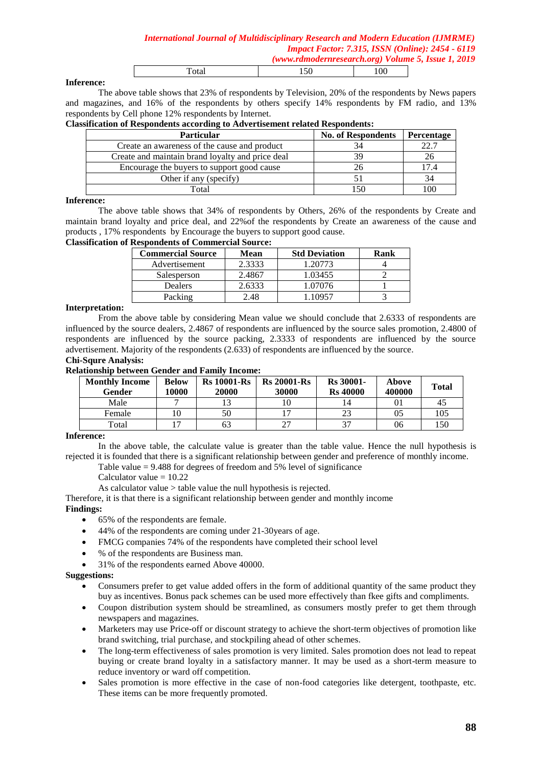### **Inference:**

The above table shows that 23% of respondents by Television, 20% of the respondents by News papers and magazines, and 16% of the respondents by others specify 14% respondents by FM radio, and 13% respondents by Cell phone 12% respondents by Internet.

Total 150 100

|  | <b>Classification of Respondents according to Advertisement related Respondents:</b> |
|--|--------------------------------------------------------------------------------------|
|  |                                                                                      |

| <b>Particular</b>                                | <b>No. of Respondents</b> | <b>Percentage</b> |
|--------------------------------------------------|---------------------------|-------------------|
| Create an awareness of the cause and product     |                           |                   |
| Create and maintain brand loyalty and price deal | 39                        |                   |
| Encourage the buyers to support good cause       | $26 -$                    |                   |
| Other if any (specify)                           |                           | 34                |
| Total                                            |                           |                   |

#### **Inference:**

The above table shows that 34% of respondents by Others, 26% of the respondents by Create and maintain brand loyalty and price deal, and 22%of the respondents by Create an awareness of the cause and products , 17% respondents by Encourage the buyers to support good cause.

### **Classification of Respondents of Commercial Source:**

| <b>Commercial Source</b> | Mean   | <b>Std Deviation</b> | Rank |
|--------------------------|--------|----------------------|------|
| Advertisement            | 2.3333 | 1.20773              |      |
| Salesperson              | 2.4867 | 1.03455              |      |
| <b>Dealers</b>           | 2.6333 | 1.07076              |      |
| Packing                  | 2.48   | -10957               |      |

#### **Interpretation:**

From the above table by considering Mean value we should conclude that 2.6333 of respondents are influenced by the source dealers, 2.4867 of respondents are influenced by the source sales promotion, 2.4800 of respondents are influenced by the source packing, 2.3333 of respondents are influenced by the source advertisement. Majority of the respondents (2.633) of respondents are influenced by the source.

### **Chi-Squre Analysis:**

**Relationship between Gender and Family Income:**

| <b>Monthly Income</b><br>Gender | <b>Below</b><br>10000 | <b>Rs</b> 10001-Rs<br>20000 | <b>Rs 20001-Rs</b><br>30000 | <b>Rs</b> 30001-<br><b>Rs</b> 40000 | Above<br>400000 | <b>Total</b> |
|---------------------------------|-----------------------|-----------------------------|-----------------------------|-------------------------------------|-----------------|--------------|
| Male                            |                       |                             |                             | 14                                  | 01              | 45           |
| Female                          |                       | 50                          |                             | 23                                  | 05              | 105          |
| Total                           |                       | 63                          | 27                          | 37                                  | 06              | 150          |

### **Inference:**

In the above table, the calculate value is greater than the table value. Hence the null hypothesis is rejected it is founded that there is a significant relationship between gender and preference of monthly income.

Table value = 9.488 for degrees of freedom and 5% level of significance

Calculator value  $= 10.22$ 

As calculator value > table value the null hypothesis is rejected.

Therefore, it is that there is a significant relationship between gender and monthly income **Findings:**

- 65% of the respondents are female.
- 44% of the respondents are coming under 21-30years of age.
- FMCG companies 74% of the respondents have completed their school level
- % of the respondents are Business man.
- 31% of the respondents earned Above 40000.

#### **Suggestions:**

- Consumers prefer to get value added offers in the form of additional quantity of the same product they buy as incentives. Bonus pack schemes can be used more effectively than fkee gifts and compliments.
- Coupon distribution system should be streamlined, as consumers mostly prefer to get them through newspapers and magazines.
- Marketers may use Price-off or discount strategy to achieve the short-term objectives of promotion like brand switching, trial purchase, and stockpiling ahead of other schemes.
- The long-term effectiveness of sales promotion is very limited. Sales promotion does not lead to repeat buying or create brand loyalty in a satisfactory manner. It may be used as a short-term measure to reduce inventory or ward off competition.
- Sales promotion is more effective in the case of non-food categories like detergent, toothpaste, etc. These items can be more frequently promoted.